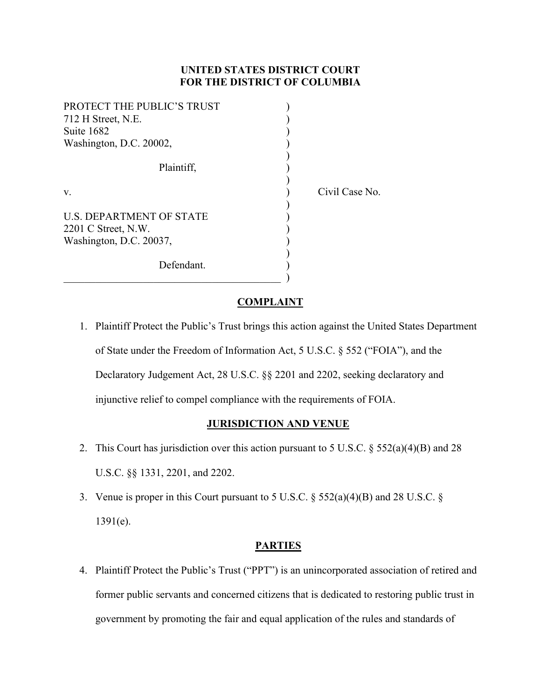## **UNITED STATES DISTRICT COURT FOR THE DISTRICT OF COLUMBIA**

| PROTECT THE PUBLIC'S TRUST      |  |
|---------------------------------|--|
| 712 H Street, N.E.              |  |
| Suite 1682                      |  |
| Washington, D.C. 20002,         |  |
|                                 |  |
| Plaintiff.                      |  |
|                                 |  |
| v.                              |  |
|                                 |  |
| <b>U.S. DEPARTMENT OF STATE</b> |  |
| 2201 C Street, N.W.             |  |
| Washington, D.C. 20037,         |  |
|                                 |  |
| Defendant.                      |  |

Civil Case No.

 $\qquad \qquad \qquad .$ 

### **COMPLAINT**

1. Plaintiff Protect the Public's Trust brings this action against the United States Department of State under the Freedom of Information Act, 5 U.S.C. § 552 ("FOIA"), and the Declaratory Judgement Act, 28 U.S.C. §§ 2201 and 2202, seeking declaratory and injunctive relief to compel compliance with the requirements of FOIA.

### **JURISDICTION AND VENUE**

- 2. This Court has jurisdiction over this action pursuant to 5 U.S.C.  $\S 552(a)(4)(B)$  and 28 U.S.C. §§ 1331, 2201, and 2202.
- 3. Venue is proper in this Court pursuant to 5 U.S.C. § 552(a)(4)(B) and 28 U.S.C. § 1391(e).

### **PARTIES**

4. Plaintiff Protect the Public's Trust ("PPT") is an unincorporated association of retired and former public servants and concerned citizens that is dedicated to restoring public trust in government by promoting the fair and equal application of the rules and standards of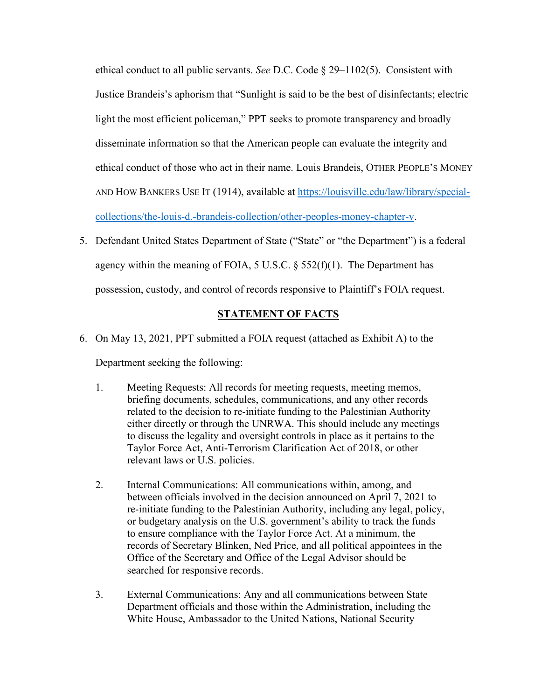ethical conduct to all public servants. *See* D.C. Code § 29–1102(5). Consistent with Justice Brandeis's aphorism that "Sunlight is said to be the best of disinfectants; electric light the most efficient policeman," PPT seeks to promote transparency and broadly disseminate information so that the American people can evaluate the integrity and ethical conduct of those who act in their name. Louis Brandeis, OTHER PEOPLE'S MONEY AND HOW BANKERS USE IT (1914), available at [https://louisville.edu/law/library/special](https://louisville.edu/law/library/special-collections/the-louis-d.-brandeis-collection/other-peoples-money-chapter-v)[collections/the-louis-d.-brandeis-collection/other-peoples-money-chapter-v.](https://louisville.edu/law/library/special-collections/the-louis-d.-brandeis-collection/other-peoples-money-chapter-v)

5. Defendant United States Department of State ("State" or "the Department") is a federal agency within the meaning of FOIA, 5 U.S.C.  $\S$  552(f)(1). The Department has possession, custody, and control of records responsive to Plaintiff's FOIA request.

# **STATEMENT OF FACTS**

6. On May 13, 2021, PPT submitted a FOIA request (attached as Exhibit A) to the

Department seeking the following:

- 1. Meeting Requests: All records for meeting requests, meeting memos, briefing documents, schedules, communications, and any other records related to the decision to re-initiate funding to the Palestinian Authority either directly or through the UNRWA. This should include any meetings to discuss the legality and oversight controls in place as it pertains to the Taylor Force Act, Anti-Terrorism Clarification Act of 2018, or other relevant laws or U.S. policies.
- 2. Internal Communications: All communications within, among, and between officials involved in the decision announced on April 7, 2021 to re-initiate funding to the Palestinian Authority, including any legal, policy, or budgetary analysis on the U.S. government's ability to track the funds to ensure compliance with the Taylor Force Act. At a minimum, the records of Secretary Blinken, Ned Price, and all political appointees in the Office of the Secretary and Office of the Legal Advisor should be searched for responsive records.
- 3. External Communications: Any and all communications between State Department officials and those within the Administration, including the White House, Ambassador to the United Nations, National Security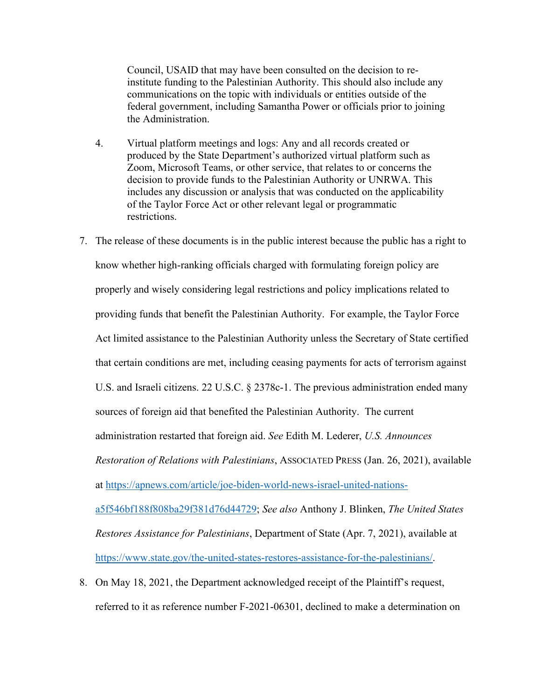Council, USAID that may have been consulted on the decision to reinstitute funding to the Palestinian Authority. This should also include any communications on the topic with individuals or entities outside of the federal government, including Samantha Power or officials prior to joining the Administration.

- 4. Virtual platform meetings and logs: Any and all records created or produced by the State Department's authorized virtual platform such as Zoom, Microsoft Teams, or other service, that relates to or concerns the decision to provide funds to the Palestinian Authority or UNRWA. This includes any discussion or analysis that was conducted on the applicability of the Taylor Force Act or other relevant legal or programmatic restrictions.
- 7. The release of these documents is in the public interest because the public has a right to know whether high-ranking officials charged with formulating foreign policy are properly and wisely considering legal restrictions and policy implications related to providing funds that benefit the Palestinian Authority. For example, the Taylor Force Act limited assistance to the Palestinian Authority unless the Secretary of State certified that certain conditions are met, including ceasing payments for acts of terrorism against U.S. and Israeli citizens. 22 U.S.C. § 2378c-1. The previous administration ended many sources of foreign aid that benefited the Palestinian Authority. The current administration restarted that foreign aid. *See* Edith M. Lederer, *U.S. Announces Restoration of Relations with Palestinians*, ASSOCIATED PRESS (Jan. 26, 2021), available at [https://apnews.com/article/joe-biden-world-news-israel-united-nations](https://apnews.com/article/joe-biden-world-news-israel-united-nations-a5f546bf188f808ba29f381d76d44729)[a5f546bf188f808ba29f381d76d44729;](https://apnews.com/article/joe-biden-world-news-israel-united-nations-a5f546bf188f808ba29f381d76d44729) *See also* Anthony J. Blinken, *The United States Restores Assistance for Palestinians*, Department of State (Apr. 7, 2021), available at [https://www.state.gov/the-united-states-restores-assistance-for-the-palestinians/.](https://www.state.gov/the-united-states-restores-assistance-for-the-palestinians/)
- 8. On May 18, 2021, the Department acknowledged receipt of the Plaintiff's request, referred to it as reference number F-2021-06301, declined to make a determination on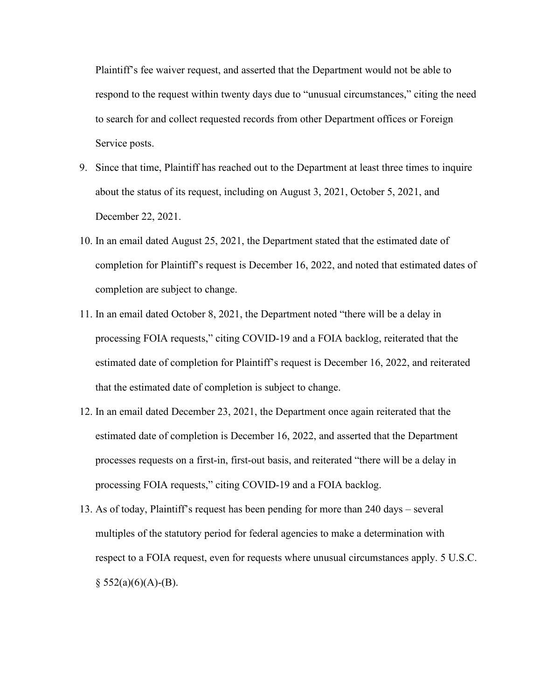Plaintiff's fee waiver request, and asserted that the Department would not be able to respond to the request within twenty days due to "unusual circumstances," citing the need to search for and collect requested records from other Department offices or Foreign Service posts.

- 9. Since that time, Plaintiff has reached out to the Department at least three times to inquire about the status of its request, including on August 3, 2021, October 5, 2021, and December 22, 2021.
- 10. In an email dated August 25, 2021, the Department stated that the estimated date of completion for Plaintiff's request is December 16, 2022, and noted that estimated dates of completion are subject to change.
- 11. In an email dated October 8, 2021, the Department noted "there will be a delay in processing FOIA requests," citing COVID-19 and a FOIA backlog, reiterated that the estimated date of completion for Plaintiff's request is December 16, 2022, and reiterated that the estimated date of completion is subject to change.
- 12. In an email dated December 23, 2021, the Department once again reiterated that the estimated date of completion is December 16, 2022, and asserted that the Department processes requests on a first-in, first-out basis, and reiterated "there will be a delay in processing FOIA requests," citing COVID-19 and a FOIA backlog.
- 13. As of today, Plaintiff's request has been pending for more than 240 days several multiples of the statutory period for federal agencies to make a determination with respect to a FOIA request, even for requests where unusual circumstances apply. 5 U.S.C.  $§ 552(a)(6)(A) - (B).$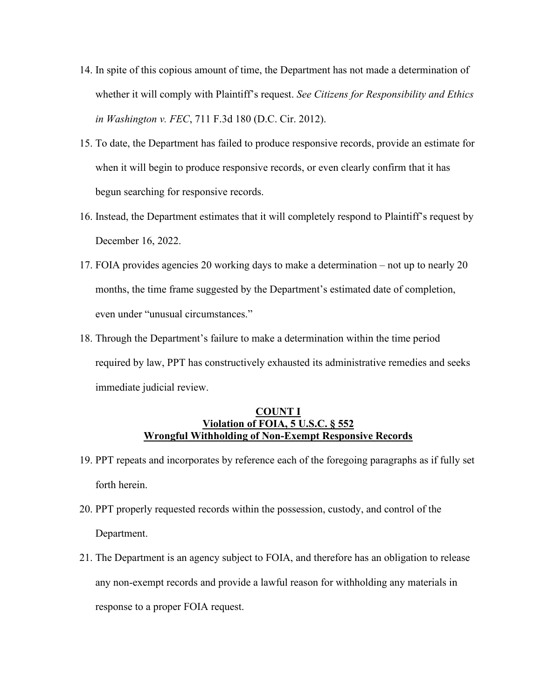- 14. In spite of this copious amount of time, the Department has not made a determination of whether it will comply with Plaintiff's request. *See Citizens for Responsibility and Ethics in Washington v. FEC*, 711 F.3d 180 (D.C. Cir. 2012).
- 15. To date, the Department has failed to produce responsive records, provide an estimate for when it will begin to produce responsive records, or even clearly confirm that it has begun searching for responsive records.
- 16. Instead, the Department estimates that it will completely respond to Plaintiff's request by December 16, 2022.
- 17. FOIA provides agencies 20 working days to make a determination not up to nearly 20 months, the time frame suggested by the Department's estimated date of completion, even under "unusual circumstances."
- 18. Through the Department's failure to make a determination within the time period required by law, PPT has constructively exhausted its administrative remedies and seeks immediate judicial review.

#### **COUNT I Violation of FOIA, 5 U.S.C. § 552 Wrongful Withholding of Non-Exempt Responsive Records**

- 19. PPT repeats and incorporates by reference each of the foregoing paragraphs as if fully set forth herein.
- 20. PPT properly requested records within the possession, custody, and control of the Department.
- 21. The Department is an agency subject to FOIA, and therefore has an obligation to release any non-exempt records and provide a lawful reason for withholding any materials in response to a proper FOIA request.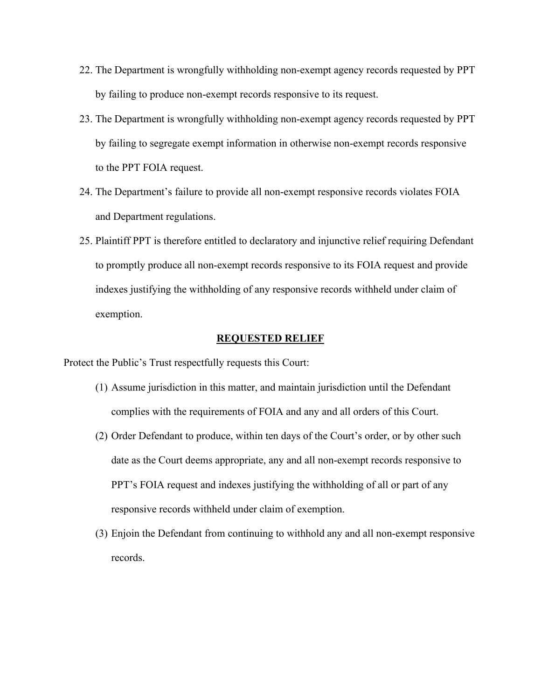- 22. The Department is wrongfully withholding non-exempt agency records requested by PPT by failing to produce non-exempt records responsive to its request.
- 23. The Department is wrongfully withholding non-exempt agency records requested by PPT by failing to segregate exempt information in otherwise non-exempt records responsive to the PPT FOIA request.
- 24. The Department's failure to provide all non-exempt responsive records violates FOIA and Department regulations.
- 25. Plaintiff PPT is therefore entitled to declaratory and injunctive relief requiring Defendant to promptly produce all non-exempt records responsive to its FOIA request and provide indexes justifying the withholding of any responsive records withheld under claim of exemption.

#### **REQUESTED RELIEF**

Protect the Public's Trust respectfully requests this Court:

- (1) Assume jurisdiction in this matter, and maintain jurisdiction until the Defendant complies with the requirements of FOIA and any and all orders of this Court.
- (2) Order Defendant to produce, within ten days of the Court's order, or by other such date as the Court deems appropriate, any and all non-exempt records responsive to PPT's FOIA request and indexes justifying the withholding of all or part of any responsive records withheld under claim of exemption.
- (3) Enjoin the Defendant from continuing to withhold any and all non-exempt responsive records.